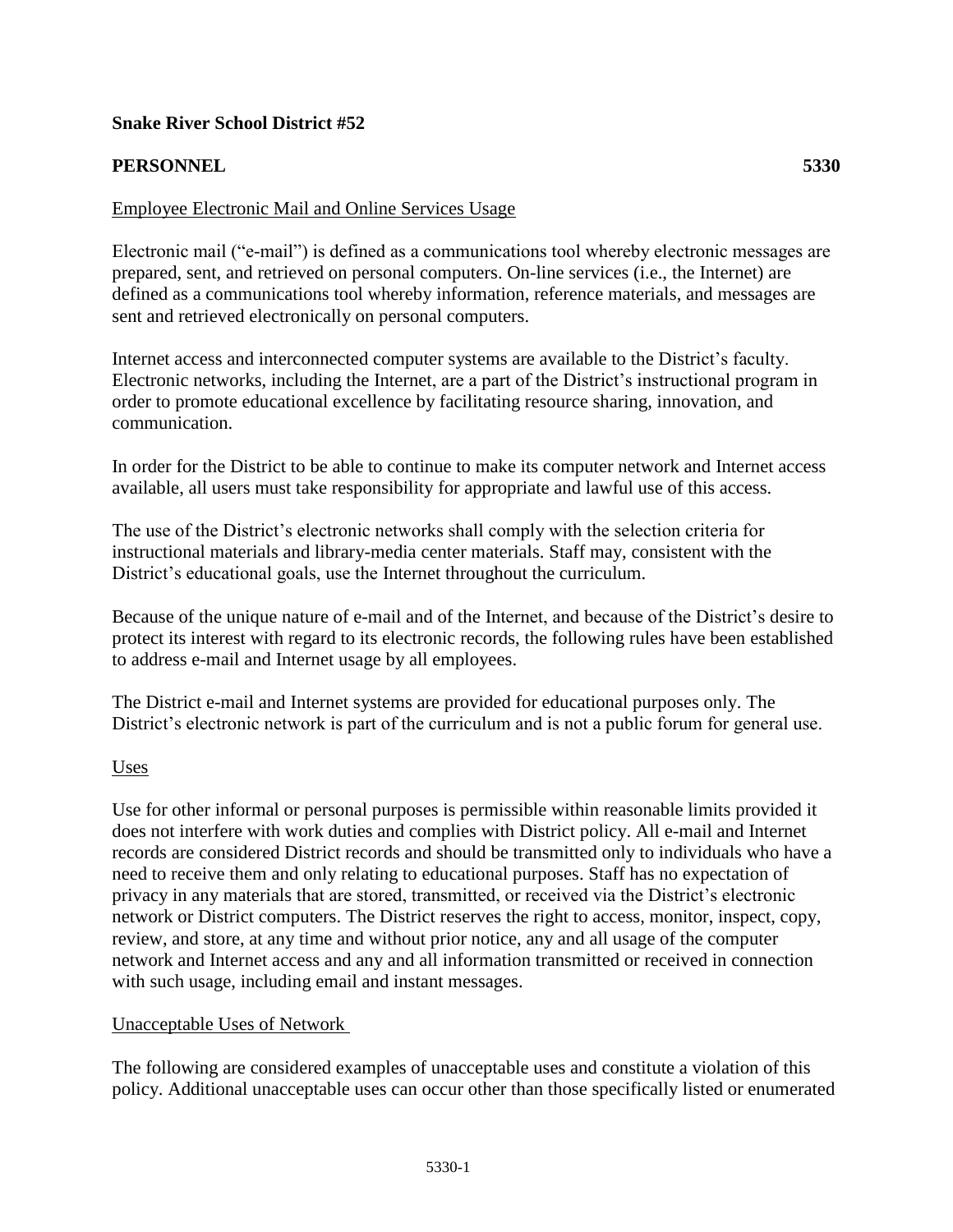# **Snake River School District #52**

# **PERSONNEL 5330**

### Employee Electronic Mail and Online Services Usage

Electronic mail ("e-mail") is defined as a communications tool whereby electronic messages are prepared, sent, and retrieved on personal computers. On-line services (i.e., the Internet) are defined as a communications tool whereby information, reference materials, and messages are sent and retrieved electronically on personal computers.

Internet access and interconnected computer systems are available to the District's faculty. Electronic networks, including the Internet, are a part of the District's instructional program in order to promote educational excellence by facilitating resource sharing, innovation, and communication.

In order for the District to be able to continue to make its computer network and Internet access available, all users must take responsibility for appropriate and lawful use of this access.

The use of the District's electronic networks shall comply with the selection criteria for instructional materials and library-media center materials. Staff may, consistent with the District's educational goals, use the Internet throughout the curriculum.

Because of the unique nature of e-mail and of the Internet, and because of the District's desire to protect its interest with regard to its electronic records, the following rules have been established to address e-mail and Internet usage by all employees.

The District e-mail and Internet systems are provided for educational purposes only. The District's electronic network is part of the curriculum and is not a public forum for general use.

### Uses

Use for other informal or personal purposes is permissible within reasonable limits provided it does not interfere with work duties and complies with District policy. All e-mail and Internet records are considered District records and should be transmitted only to individuals who have a need to receive them and only relating to educational purposes. Staff has no expectation of privacy in any materials that are stored, transmitted, or received via the District's electronic network or District computers. The District reserves the right to access, monitor, inspect, copy, review, and store, at any time and without prior notice, any and all usage of the computer network and Internet access and any and all information transmitted or received in connection with such usage, including email and instant messages.

### Unacceptable Uses of Network

The following are considered examples of unacceptable uses and constitute a violation of this policy. Additional unacceptable uses can occur other than those specifically listed or enumerated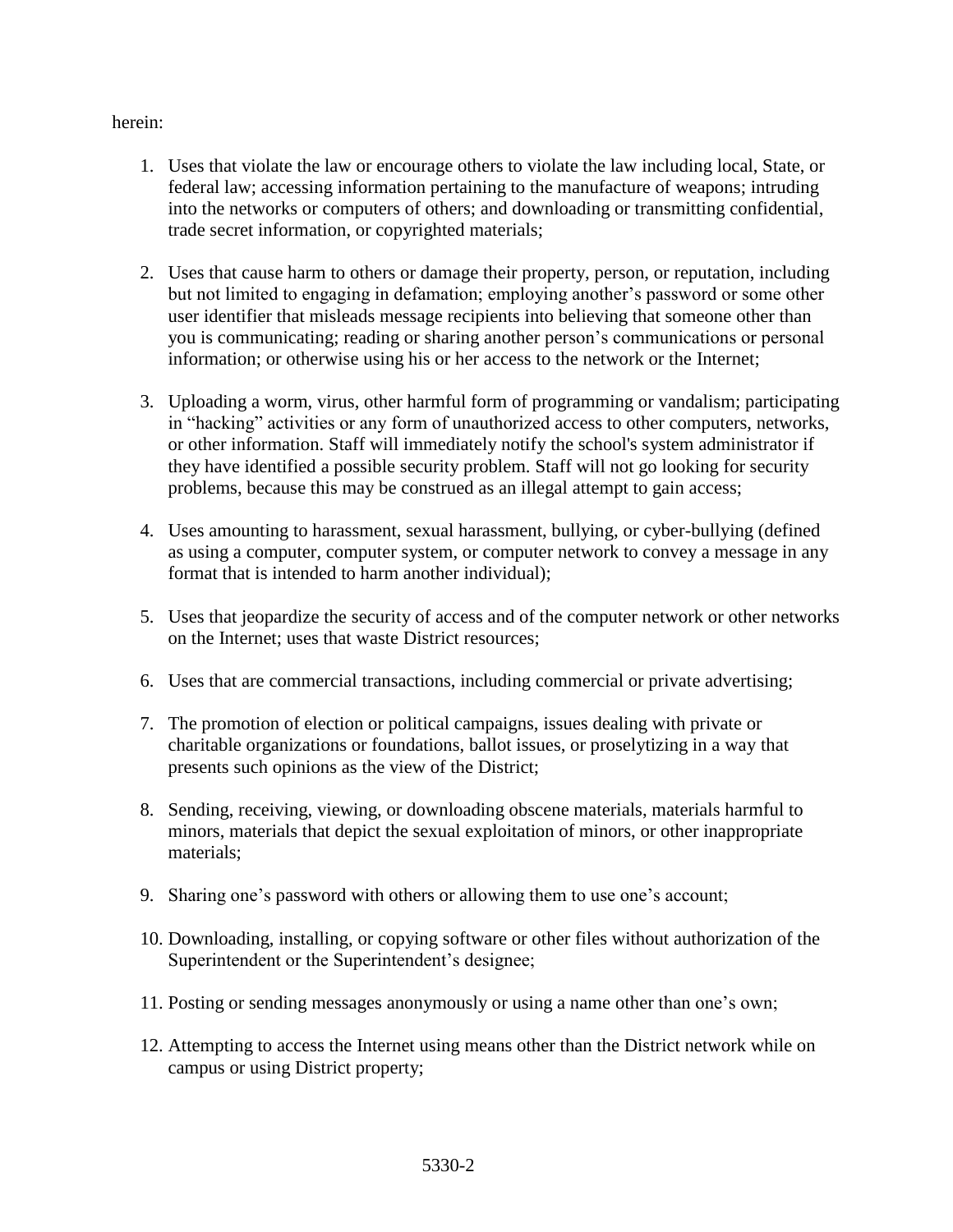### herein:

- 1. Uses that violate the law or encourage others to violate the law including local, State, or federal law; accessing information pertaining to the manufacture of weapons; intruding into the networks or computers of others; and downloading or transmitting confidential, trade secret information, or copyrighted materials;
- 2. Uses that cause harm to others or damage their property, person, or reputation, including but not limited to engaging in defamation; employing another's password or some other user identifier that misleads message recipients into believing that someone other than you is communicating; reading or sharing another person's communications or personal information; or otherwise using his or her access to the network or the Internet;
- 3. Uploading a worm, virus, other harmful form of programming or vandalism; participating in "hacking" activities or any form of unauthorized access to other computers, networks, or other information. Staff will immediately notify the school's system administrator if they have identified a possible security problem. Staff will not go looking for security problems, because this may be construed as an illegal attempt to gain access;
- 4. Uses amounting to harassment, sexual harassment, bullying, or cyber-bullying (defined as using a computer, computer system, or computer network to convey a message in any format that is intended to harm another individual);
- 5. Uses that jeopardize the security of access and of the computer network or other networks on the Internet; uses that waste District resources;
- 6. Uses that are commercial transactions, including commercial or private advertising;
- 7. The promotion of election or political campaigns, issues dealing with private or charitable organizations or foundations, ballot issues, or proselytizing in a way that presents such opinions as the view of the District;
- 8. Sending, receiving, viewing, or downloading obscene materials, materials harmful to minors, materials that depict the sexual exploitation of minors, or other inappropriate materials;
- 9. Sharing one's password with others or allowing them to use one's account;
- 10. Downloading, installing, or copying software or other files without authorization of the Superintendent or the Superintendent's designee;
- 11. Posting or sending messages anonymously or using a name other than one's own;
- 12. Attempting to access the Internet using means other than the District network while on campus or using District property;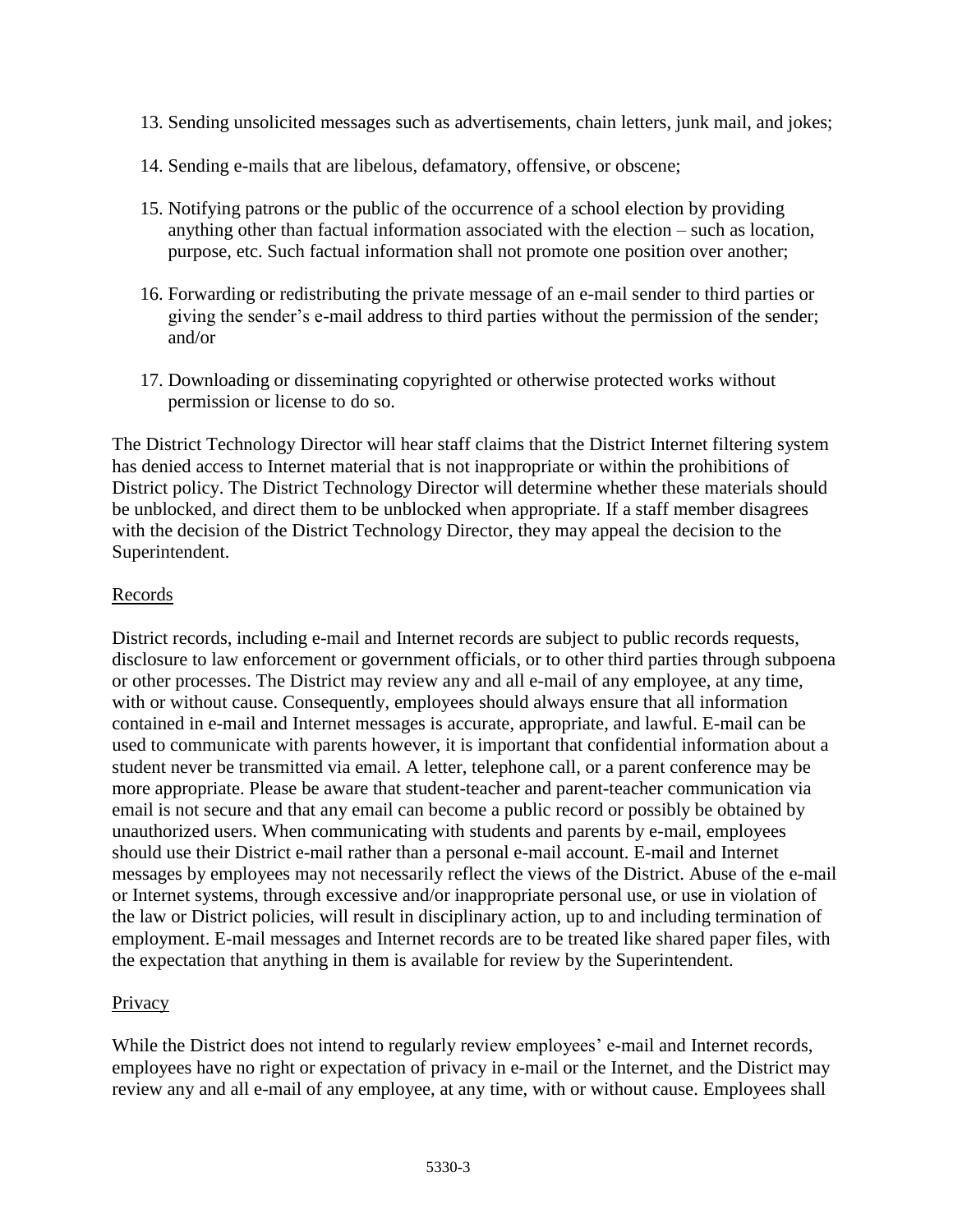- 13. Sending unsolicited messages such as advertisements, chain letters, junk mail, and jokes;
- 14. Sending e-mails that are libelous, defamatory, offensive, or obscene;
- 15. Notifying patrons or the public of the occurrence of a school election by providing anything other than factual information associated with the election – such as location, purpose, etc. Such factual information shall not promote one position over another;
- 16. Forwarding or redistributing the private message of an e-mail sender to third parties or giving the sender's e-mail address to third parties without the permission of the sender; and/or
- 17. Downloading or disseminating copyrighted or otherwise protected works without permission or license to do so.

The District Technology Director will hear staff claims that the District Internet filtering system has denied access to Internet material that is not inappropriate or within the prohibitions of District policy. The District Technology Director will determine whether these materials should be unblocked, and direct them to be unblocked when appropriate. If a staff member disagrees with the decision of the District Technology Director, they may appeal the decision to the Superintendent.

# Records

District records, including e-mail and Internet records are subject to public records requests, disclosure to law enforcement or government officials, or to other third parties through subpoena or other processes. The District may review any and all e-mail of any employee, at any time, with or without cause. Consequently, employees should always ensure that all information contained in e-mail and Internet messages is accurate, appropriate, and lawful. E-mail can be used to communicate with parents however, it is important that confidential information about a student never be transmitted via email. A letter, telephone call, or a parent conference may be more appropriate. Please be aware that student-teacher and parent-teacher communication via email is not secure and that any email can become a public record or possibly be obtained by unauthorized users. When communicating with students and parents by e-mail, employees should use their District e-mail rather than a personal e-mail account. E-mail and Internet messages by employees may not necessarily reflect the views of the District. Abuse of the e-mail or Internet systems, through excessive and/or inappropriate personal use, or use in violation of the law or District policies, will result in disciplinary action, up to and including termination of employment. E-mail messages and Internet records are to be treated like shared paper files, with the expectation that anything in them is available for review by the Superintendent.

# Privacy

While the District does not intend to regularly review employees' e-mail and Internet records, employees have no right or expectation of privacy in e-mail or the Internet, and the District may review any and all e-mail of any employee, at any time, with or without cause. Employees shall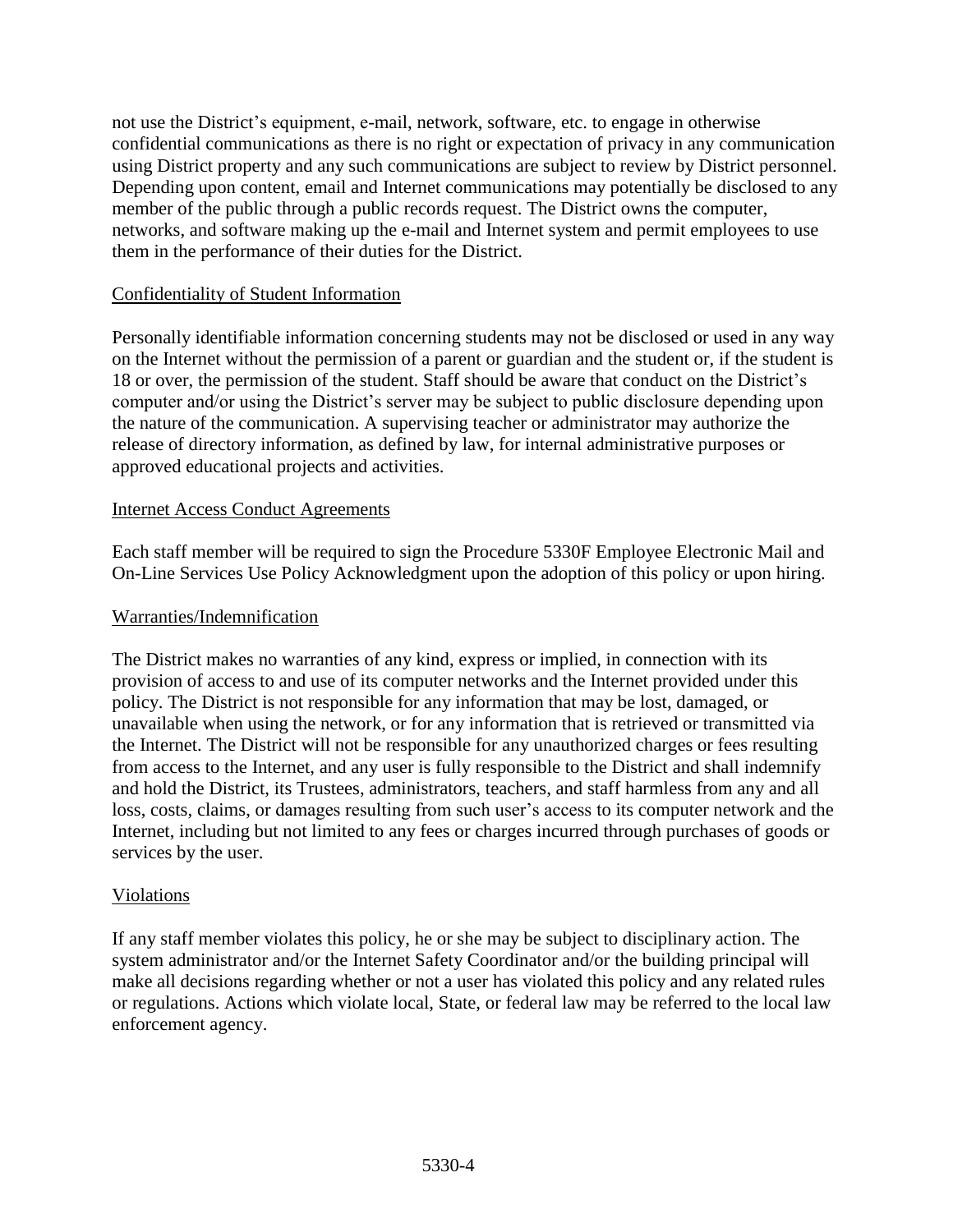not use the District's equipment, e-mail, network, software, etc. to engage in otherwise confidential communications as there is no right or expectation of privacy in any communication using District property and any such communications are subject to review by District personnel. Depending upon content, email and Internet communications may potentially be disclosed to any member of the public through a public records request. The District owns the computer, networks, and software making up the e-mail and Internet system and permit employees to use them in the performance of their duties for the District.

### Confidentiality of Student Information

Personally identifiable information concerning students may not be disclosed or used in any way on the Internet without the permission of a parent or guardian and the student or, if the student is 18 or over, the permission of the student. Staff should be aware that conduct on the District's computer and/or using the District's server may be subject to public disclosure depending upon the nature of the communication. A supervising teacher or administrator may authorize the release of directory information, as defined by law, for internal administrative purposes or approved educational projects and activities.

### Internet Access Conduct Agreements

Each staff member will be required to sign the Procedure 5330F Employee Electronic Mail and On-Line Services Use Policy Acknowledgment upon the adoption of this policy or upon hiring.

### Warranties/Indemnification

The District makes no warranties of any kind, express or implied, in connection with its provision of access to and use of its computer networks and the Internet provided under this policy. The District is not responsible for any information that may be lost, damaged, or unavailable when using the network, or for any information that is retrieved or transmitted via the Internet. The District will not be responsible for any unauthorized charges or fees resulting from access to the Internet, and any user is fully responsible to the District and shall indemnify and hold the District, its Trustees, administrators, teachers, and staff harmless from any and all loss, costs, claims, or damages resulting from such user's access to its computer network and the Internet, including but not limited to any fees or charges incurred through purchases of goods or services by the user.

### **Violations**

If any staff member violates this policy, he or she may be subject to disciplinary action. The system administrator and/or the Internet Safety Coordinator and/or the building principal will make all decisions regarding whether or not a user has violated this policy and any related rules or regulations. Actions which violate local, State, or federal law may be referred to the local law enforcement agency.